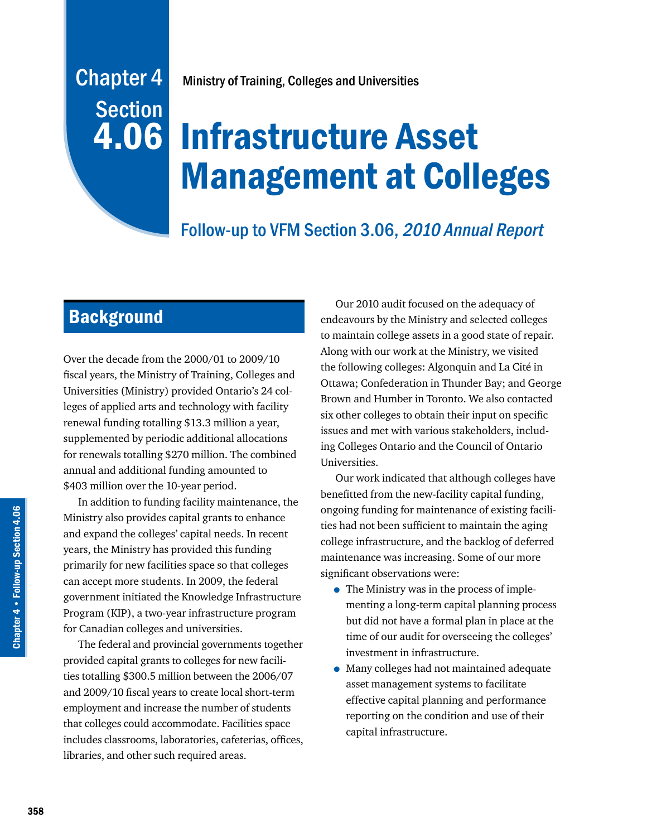# **Section** 4.06

# Infrastructure Asset Management at Colleges

# Follow-up to VFM Section 3.06, 2010 Annual Report

# **Background**

Over the decade from the 2000/01 to 2009/10 fiscal years, the Ministry of Training, Colleges and Universities (Ministry) provided Ontario's 24 colleges of applied arts and technology with facility renewal funding totalling \$13.3 million a year, supplemented by periodic additional allocations for renewals totalling \$270 million. The combined annual and additional funding amounted to \$403 million over the 10-year period.

In addition to funding facility maintenance, the Ministry also provides capital grants to enhance and expand the colleges' capital needs. In recent years, the Ministry has provided this funding primarily for new facilities space so that colleges can accept more students. In 2009, the federal government initiated the Knowledge Infrastructure Program (KIP), a two-year infrastructure program for Canadian colleges and universities.

The federal and provincial governments together provided capital grants to colleges for new facilities totalling \$300.5 million between the 2006/07 and 2009/10 fiscal years to create local short-term employment and increase the number of students that colleges could accommodate. Facilities space includes classrooms, laboratories, cafeterias, offices, libraries, and other such required areas.

Our 2010 audit focused on the adequacy of endeavours by the Ministry and selected colleges to maintain college assets in a good state of repair. Along with our work at the Ministry, we visited the following colleges: Algonquin and La Cité in Ottawa; Confederation in Thunder Bay; and George Brown and Humber in Toronto. We also contacted six other colleges to obtain their input on specific issues and met with various stakeholders, including Colleges Ontario and the Council of Ontario Universities.

Our work indicated that although colleges have benefitted from the new-facility capital funding, ongoing funding for maintenance of existing facilities had not been sufficient to maintain the aging college infrastructure, and the backlog of deferred maintenance was increasing. Some of our more significant observations were:

- The Ministry was in the process of implementing a long-term capital planning process but did not have a formal plan in place at the time of our audit for overseeing the colleges' investment in infrastructure.
- Many colleges had not maintained adequate asset management systems to facilitate effective capital planning and performance reporting on the condition and use of their capital infrastructure.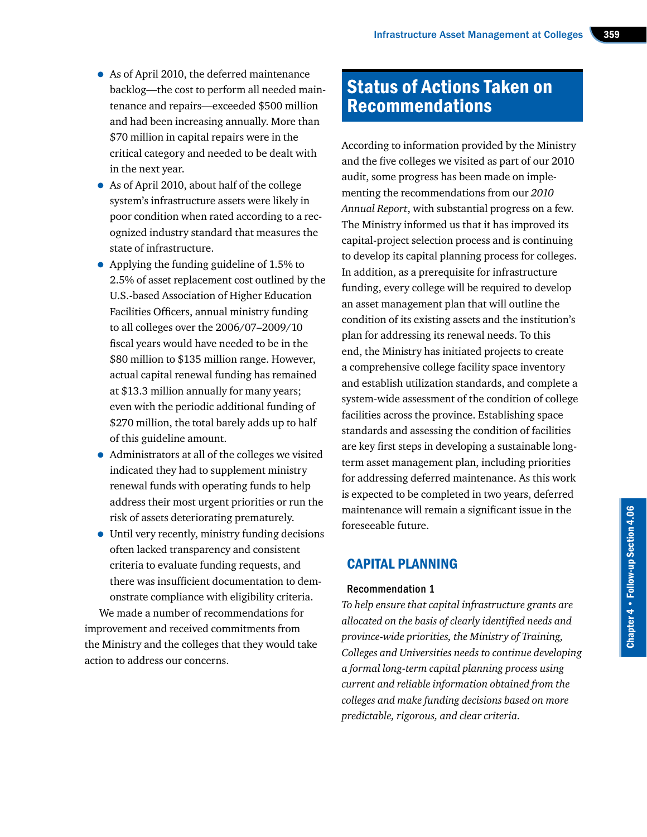- As of April 2010, the deferred maintenance backlog—the cost to perform all needed maintenance and repairs—exceeded \$500 million and had been increasing annually. More than \$70 million in capital repairs were in the critical category and needed to be dealt with in the next year.
- As of April 2010, about half of the college system's infrastructure assets were likely in poor condition when rated according to a recognized industry standard that measures the state of infrastructure.
- Applying the funding guideline of 1.5% to 2.5% of asset replacement cost outlined by the U.S.-based Association of Higher Education Facilities Officers, annual ministry funding to all colleges over the 2006/07–2009/10 fiscal years would have needed to be in the \$80 million to \$135 million range. However, actual capital renewal funding has remained at \$13.3 million annually for many years; even with the periodic additional funding of \$270 million, the total barely adds up to half of this guideline amount.
- Administrators at all of the colleges we visited indicated they had to supplement ministry renewal funds with operating funds to help address their most urgent priorities or run the risk of assets deteriorating prematurely.
- Until very recently, ministry funding decisions often lacked transparency and consistent criteria to evaluate funding requests, and there was insufficient documentation to demonstrate compliance with eligibility criteria.

We made a number of recommendations for improvement and received commitments from the Ministry and the colleges that they would take action to address our concerns.

## Status of Actions Taken on Recommendations

According to information provided by the Ministry and the five colleges we visited as part of our 2010 audit, some progress has been made on implementing the recommendations from our *2010 Annual Report*, with substantial progress on a few. The Ministry informed us that it has improved its capital-project selection process and is continuing to develop its capital planning process for colleges. In addition, as a prerequisite for infrastructure funding, every college will be required to develop an asset management plan that will outline the condition of its existing assets and the institution's plan for addressing its renewal needs. To this end, the Ministry has initiated projects to create a comprehensive college facility space inventory and establish utilization standards, and complete a system-wide assessment of the condition of college facilities across the province. Establishing space standards and assessing the condition of facilities are key first steps in developing a sustainable longterm asset management plan, including priorities for addressing deferred maintenance. As this work is expected to be completed in two years, deferred maintenance will remain a significant issue in the foreseeable future.

## CAPITAL PLANNING

#### Recommendation 1

*To help ensure that capital infrastructure grants are allocated on the basis of clearly identified needs and province-wide priorities, the Ministry of Training, Colleges and Universities needs to continue developing a formal long-term capital planning process using current and reliable information obtained from the colleges and make funding decisions based on more predictable, rigorous, and clear criteria.*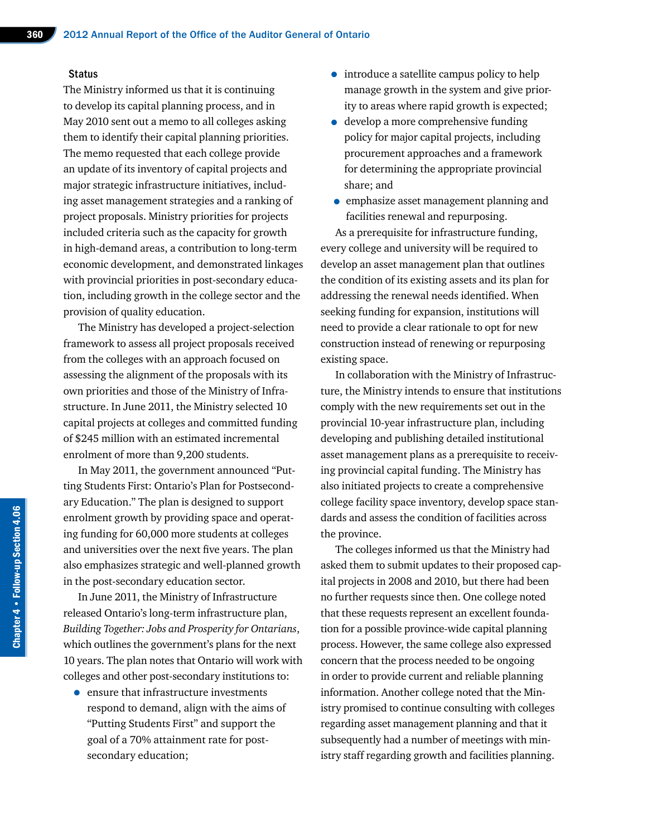#### **Status**

The Ministry informed us that it is continuing to develop its capital planning process, and in May 2010 sent out a memo to all colleges asking them to identify their capital planning priorities. The memo requested that each college provide an update of its inventory of capital projects and major strategic infrastructure initiatives, including asset management strategies and a ranking of project proposals. Ministry priorities for projects included criteria such as the capacity for growth in high-demand areas, a contribution to long-term economic development, and demonstrated linkages with provincial priorities in post-secondary education, including growth in the college sector and the provision of quality education.

The Ministry has developed a project-selection framework to assess all project proposals received from the colleges with an approach focused on assessing the alignment of the proposals with its own priorities and those of the Ministry of Infrastructure. In June 2011, the Ministry selected 10 capital projects at colleges and committed funding of \$245 million with an estimated incremental enrolment of more than 9,200 students.

In May 2011, the government announced "Putting Students First: Ontario's Plan for Postsecondary Education." The plan is designed to support enrolment growth by providing space and operating funding for 60,000 more students at colleges and universities over the next five years. The plan also emphasizes strategic and well-planned growth in the post-secondary education sector.

In June 2011, the Ministry of Infrastructure released Ontario's long-term infrastructure plan, *Building Together: Jobs and Prosperity for Ontarians*, which outlines the government's plans for the next 10 years. The plan notes that Ontario will work with colleges and other post-secondary institutions to:

• ensure that infrastructure investments respond to demand, align with the aims of "Putting Students First" and support the goal of a 70% attainment rate for postsecondary education;

- introduce a satellite campus policy to help manage growth in the system and give priority to areas where rapid growth is expected;
- develop a more comprehensive funding policy for major capital projects, including procurement approaches and a framework for determining the appropriate provincial share; and
- emphasize asset management planning and facilities renewal and repurposing.

As a prerequisite for infrastructure funding, every college and university will be required to develop an asset management plan that outlines the condition of its existing assets and its plan for addressing the renewal needs identified. When seeking funding for expansion, institutions will need to provide a clear rationale to opt for new construction instead of renewing or repurposing existing space.

In collaboration with the Ministry of Infrastructure, the Ministry intends to ensure that institutions comply with the new requirements set out in the provincial 10-year infrastructure plan, including developing and publishing detailed institutional asset management plans as a prerequisite to receiving provincial capital funding. The Ministry has also initiated projects to create a comprehensive college facility space inventory, develop space standards and assess the condition of facilities across the province.

The colleges informed us that the Ministry had asked them to submit updates to their proposed capital projects in 2008 and 2010, but there had been no further requests since then. One college noted that these requests represent an excellent foundation for a possible province-wide capital planning process. However, the same college also expressed concern that the process needed to be ongoing in order to provide current and reliable planning information. Another college noted that the Ministry promised to continue consulting with colleges regarding asset management planning and that it subsequently had a number of meetings with ministry staff regarding growth and facilities planning.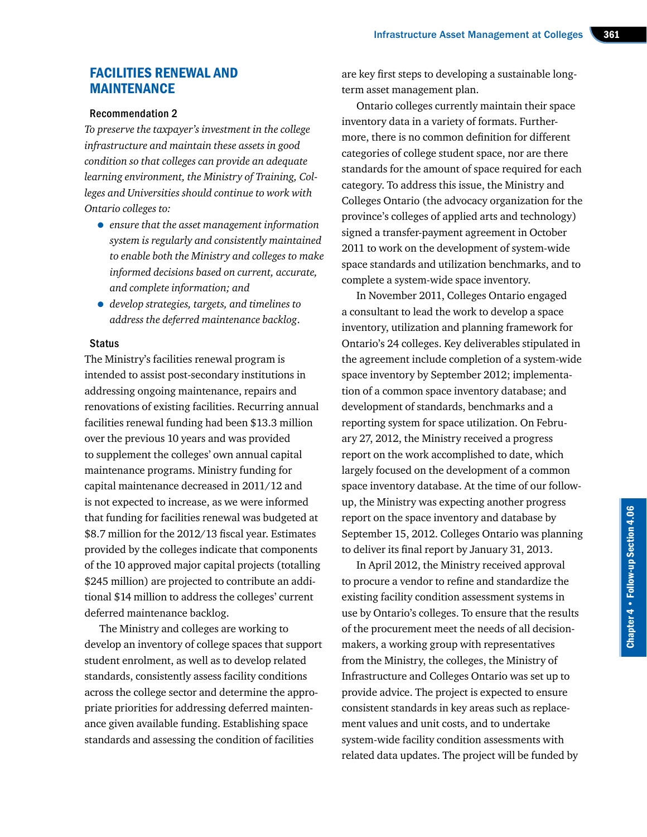### FACILITIES RENEWAL AND MAINTENANCE

#### Recommendation 2

*To preserve the taxpayer's investment in the college infrastructure and maintain these assets in good condition so that colleges can provide an adequate learning environment, the Ministry of Training, Colleges and Universities should continue to work with Ontario colleges to:*

- *ensure that the asset management information system is regularly and consistently maintained to enable both the Ministry and colleges to make informed decisions based on current, accurate, and complete information; and*
- *develop strategies, targets, and timelines to address the deferred maintenance backlog*.

#### **Status**

The Ministry's facilities renewal program is intended to assist post-secondary institutions in addressing ongoing maintenance, repairs and renovations of existing facilities. Recurring annual facilities renewal funding had been \$13.3 million over the previous 10 years and was provided to supplement the colleges' own annual capital maintenance programs. Ministry funding for capital maintenance decreased in 2011/12 and is not expected to increase, as we were informed that funding for facilities renewal was budgeted at \$8.7 million for the 2012/13 fiscal year. Estimates provided by the colleges indicate that components of the 10 approved major capital projects (totalling \$245 million) are projected to contribute an additional \$14 million to address the colleges' current deferred maintenance backlog.

The Ministry and colleges are working to develop an inventory of college spaces that support student enrolment, as well as to develop related standards, consistently assess facility conditions across the college sector and determine the appropriate priorities for addressing deferred maintenance given available funding. Establishing space standards and assessing the condition of facilities

are key first steps to developing a sustainable longterm asset management plan.

Ontario colleges currently maintain their space inventory data in a variety of formats. Furthermore, there is no common definition for different categories of college student space, nor are there standards for the amount of space required for each category. To address this issue, the Ministry and Colleges Ontario (the advocacy organization for the province's colleges of applied arts and technology) signed a transfer-payment agreement in October 2011 to work on the development of system-wide space standards and utilization benchmarks, and to complete a system-wide space inventory.

In November 2011, Colleges Ontario engaged a consultant to lead the work to develop a space inventory, utilization and planning framework for Ontario's 24 colleges. Key deliverables stipulated in the agreement include completion of a system-wide space inventory by September 2012; implementation of a common space inventory database; and development of standards, benchmarks and a reporting system for space utilization. On February 27, 2012, the Ministry received a progress report on the work accomplished to date, which largely focused on the development of a common space inventory database. At the time of our followup, the Ministry was expecting another progress report on the space inventory and database by September 15, 2012. Colleges Ontario was planning to deliver its final report by January 31, 2013.

In April 2012, the Ministry received approval to procure a vendor to refine and standardize the existing facility condition assessment systems in use by Ontario's colleges. To ensure that the results of the procurement meet the needs of all decisionmakers, a working group with representatives from the Ministry, the colleges, the Ministry of Infrastructure and Colleges Ontario was set up to provide advice. The project is expected to ensure consistent standards in key areas such as replacement values and unit costs, and to undertake system-wide facility condition assessments with related data updates. The project will be funded by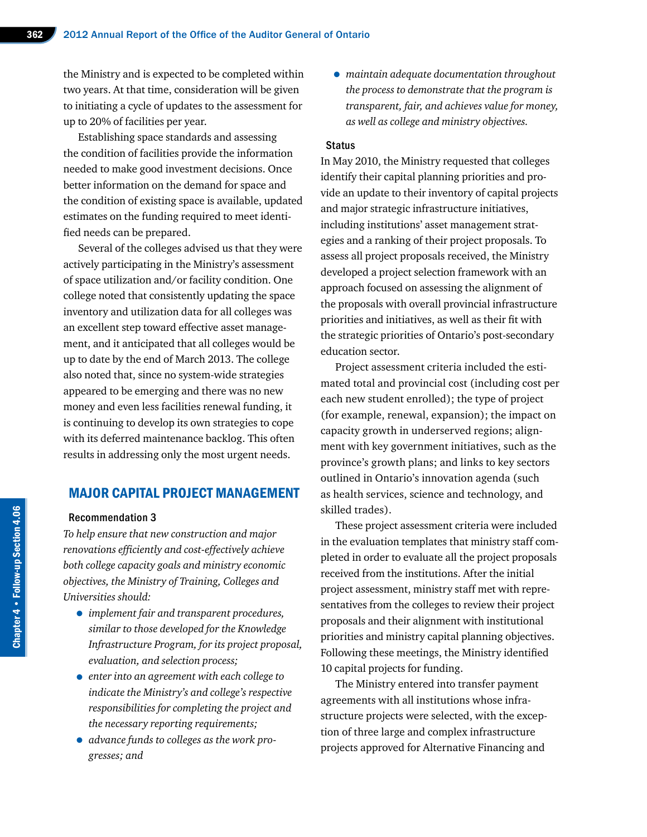the Ministry and is expected to be completed within two years. At that time, consideration will be given to initiating a cycle of updates to the assessment for up to 20% of facilities per year.

Establishing space standards and assessing the condition of facilities provide the information needed to make good investment decisions. Once better information on the demand for space and the condition of existing space is available, updated estimates on the funding required to meet identified needs can be prepared.

Several of the colleges advised us that they were actively participating in the Ministry's assessment of space utilization and/or facility condition. One college noted that consistently updating the space inventory and utilization data for all colleges was an excellent step toward effective asset management, and it anticipated that all colleges would be up to date by the end of March 2013. The college also noted that, since no system-wide strategies appeared to be emerging and there was no new money and even less facilities renewal funding, it is continuing to develop its own strategies to cope with its deferred maintenance backlog. This often results in addressing only the most urgent needs.

## MAJOR CAPITAL PROJECT MANAGEMENT

#### Recommendation 3

*To help ensure that new construction and major renovations efficiently and cost-effectively achieve both college capacity goals and ministry economic objectives, the Ministry of Training, Colleges and Universities should:*

- *implement fair and transparent procedures, similar to those developed for the Knowledge Infrastructure Program, for its project proposal, evaluation, and selection process;*
- *enter into an agreement with each college to indicate the Ministry's and college's respective responsibilities for completing the project and the necessary reporting requirements;*
- *advance funds to colleges as the work progresses; and*

• *maintain adequate documentation throughout the process to demonstrate that the program is transparent, fair, and achieves value for money, as well as college and ministry objectives.*

#### **Status**

In May 2010, the Ministry requested that colleges identify their capital planning priorities and provide an update to their inventory of capital projects and major strategic infrastructure initiatives, including institutions' asset management strategies and a ranking of their project proposals. To assess all project proposals received, the Ministry developed a project selection framework with an approach focused on assessing the alignment of the proposals with overall provincial infrastructure priorities and initiatives, as well as their fit with the strategic priorities of Ontario's post-secondary education sector.

Project assessment criteria included the estimated total and provincial cost (including cost per each new student enrolled); the type of project (for example, renewal, expansion); the impact on capacity growth in underserved regions; alignment with key government initiatives, such as the province's growth plans; and links to key sectors outlined in Ontario's innovation agenda (such as health services, science and technology, and skilled trades).

These project assessment criteria were included in the evaluation templates that ministry staff completed in order to evaluate all the project proposals received from the institutions. After the initial project assessment, ministry staff met with representatives from the colleges to review their project proposals and their alignment with institutional priorities and ministry capital planning objectives. Following these meetings, the Ministry identified 10 capital projects for funding.

The Ministry entered into transfer payment agreements with all institutions whose infrastructure projects were selected, with the exception of three large and complex infrastructure projects approved for Alternative Financing and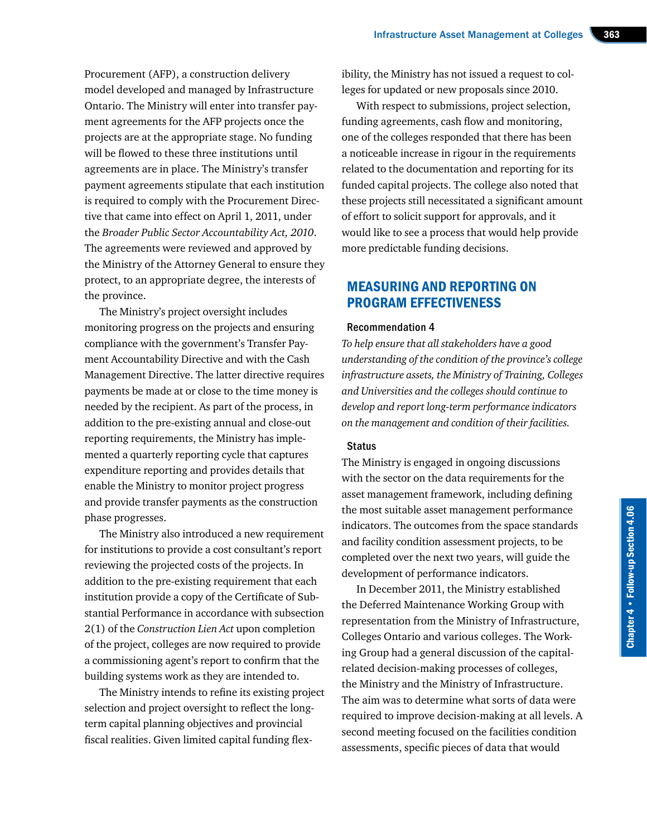Procurement (AFP), a construction delivery model developed and managed by Infrastructure Ontario. The Ministry will enter into transfer payment agreements for the AFP projects once the projects are at the appropriate stage. No funding will be flowed to these three institutions until agreements are in place. The Ministry's transfer payment agreements stipulate that each institution is required to comply with the Procurement Directive that came into effect on April 1, 2011, under the *Broader Public Sector Accountability Act, 2010*. The agreements were reviewed and approved by the Ministry of the Attorney General to ensure they protect, to an appropriate degree, the interests of the province.

The Ministry's project oversight includes monitoring progress on the projects and ensuring compliance with the government's Transfer Payment Accountability Directive and with the Cash Management Directive. The latter directive requires payments be made at or close to the time money is needed by the recipient. As part of the process, in addition to the pre-existing annual and close-out reporting requirements, the Ministry has implemented a quarterly reporting cycle that captures expenditure reporting and provides details that enable the Ministry to monitor project progress and provide transfer payments as the construction phase progresses.

The Ministry also introduced a new requirement for institutions to provide a cost consultant's report reviewing the projected costs of the projects. In addition to the pre-existing requirement that each institution provide a copy of the Certificate of Substantial Performance in accordance with subsection 2(1) of the *Construction Lien Act* upon completion of the project, colleges are now required to provide a commissioning agent's report to confirm that the building systems work as they are intended to.

The Ministry intends to refine its existing project selection and project oversight to reflect the longterm capital planning objectives and provincial fiscal realities. Given limited capital funding flex-

ibility, the Ministry has not issued a request to colleges for updated or new proposals since 2010.

With respect to submissions, project selection, funding agreements, cash flow and monitoring, one of the colleges responded that there has been a noticeable increase in rigour in the requirements related to the documentation and reporting for its funded capital projects. The college also noted that these projects still necessitated a significant amount of effort to solicit support for approvals, and it would like to see a process that would help provide more predictable funding decisions.

## MEASURING AND REPORTING ON PROGRAM EFFECTIVENESS

#### Recommendation 4

*To help ensure that all stakeholders have a good understanding of the condition of the province's college infrastructure assets, the Ministry of Training, Colleges and Universities and the colleges should continue to develop and report long-term performance indicators on the management and condition of their facilities.*

#### **Status**

The Ministry is engaged in ongoing discussions with the sector on the data requirements for the asset management framework, including defining the most suitable asset management performance indicators. The outcomes from the space standards and facility condition assessment projects, to be completed over the next two years, will guide the development of performance indicators.

In December 2011, the Ministry established the Deferred Maintenance Working Group with representation from the Ministry of Infrastructure, Colleges Ontario and various colleges. The Working Group had a general discussion of the capitalrelated decision-making processes of colleges, the Ministry and the Ministry of Infrastructure. The aim was to determine what sorts of data were required to improve decision-making at all levels. A second meeting focused on the facilities condition assessments, specific pieces of data that would